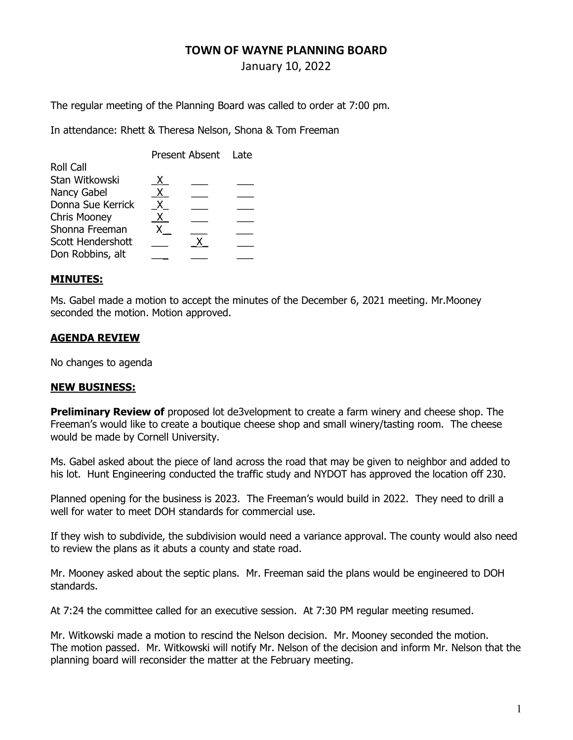## TOWN OF WAYNE PLANNING BOARD

January 10, 2022

The regular meeting of the Planning Board was called to order at 7:00 pm.

In attendance: Rhett & Theresa Nelson, Shona & Tom Freeman

|                   | Present Absent Late |  |  |
|-------------------|---------------------|--|--|
| <b>Roll Call</b>  |                     |  |  |
| Stan Witkowski    | X.                  |  |  |
| Nancy Gabel       | X.                  |  |  |
| Donna Sue Kerrick | X.                  |  |  |
| Chris Mooney      | X.                  |  |  |
| Shonna Freeman    |                     |  |  |
| Scott Hendershott |                     |  |  |
| Don Robbins, alt  |                     |  |  |

## MINUTES:

Ms. Gabel made a motion to accept the minutes of the December 6, 2021 meeting. Mr.Mooney seconded the motion. Motion approved.

## AGENDA REVIEW

No changes to agenda

## NEW BUSINESS:

**Preliminary Review of** proposed lot de3velopment to create a farm winery and cheese shop. The Freeman's would like to create a boutique cheese shop and small winery/tasting room. The cheese would be made by Cornell University.

Ms. Gabel asked about the piece of land across the road that may be given to neighbor and added to his lot. Hunt Engineering conducted the traffic study and NYDOT has approved the location off 230.

Planned opening for the business is 2023. The Freeman's would build in 2022. They need to drill a well for water to meet DOH standards for commercial use.

If they wish to subdivide, the subdivision would need a variance approval. The county would also need to review the plans as it abuts a county and state road.

Mr. Mooney asked about the septic plans. Mr. Freeman said the plans would be engineered to DOH standards.

At 7:24 the committee called for an executive session. At 7:30 PM regular meeting resumed.

Mr. Witkowski made a motion to rescind the Nelson decision. Mr. Mooney seconded the motion. The motion passed. Mr. Witkowski will notify Mr. Nelson of the decision and inform Mr. Nelson that the planning board will reconsider the matter at the February meeting.